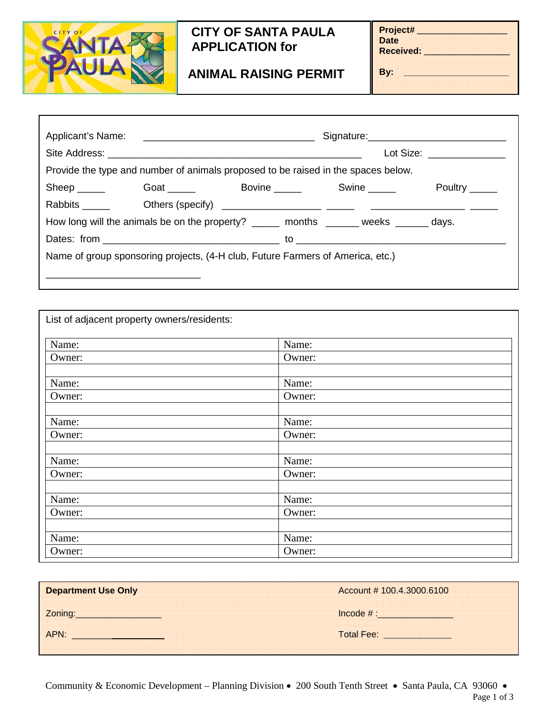

Ī

## **CITY OF SANTA PAULA APPLICATION for**

**ANIMAL RAISING PERMIT**

**Project# \_\_\_\_\_\_\_\_\_\_\_\_\_\_\_\_\_\_\_\_ Date Received: \_\_\_\_\_\_\_\_\_\_\_\_\_\_\_\_\_\_\_**

**By: \_\_\_\_\_\_\_\_\_\_\_\_\_\_\_\_\_\_\_\_\_**

|                                                                                |  |                                                                                       | Lot Size: _______________ |                           |  |  |
|--------------------------------------------------------------------------------|--|---------------------------------------------------------------------------------------|---------------------------|---------------------------|--|--|
|                                                                                |  | Provide the type and number of animals proposed to be raised in the spaces below.     |                           |                           |  |  |
| $Sheep \_\_$                                                                   |  | Goat Bovine Swine Super                                                               |                           | Poultry $\_\_\_\_\_\_\_\$ |  |  |
|                                                                                |  |                                                                                       |                           |                           |  |  |
|                                                                                |  | How long will the animals be on the property? ______ months ______ weeks ______ days. |                           |                           |  |  |
|                                                                                |  |                                                                                       |                           |                           |  |  |
| Name of group sponsoring projects, (4-H club, Future Farmers of America, etc.) |  |                                                                                       |                           |                           |  |  |
|                                                                                |  |                                                                                       |                           |                           |  |  |

| List of adjacent property owners/residents: |        |  |
|---------------------------------------------|--------|--|
| Name:                                       | Name:  |  |
| Owner:                                      | Owner: |  |
| Name:                                       | Name:  |  |
| Owner:                                      | Owner: |  |
| Name:                                       | Name:  |  |
| Owner:                                      | Owner: |  |
| Name:                                       | Name:  |  |
| Owner:                                      | Owner: |  |
| Name:                                       | Name:  |  |
| Owner:                                      | Owner: |  |
| Name:                                       | Name:  |  |
| Owner:                                      | Owner: |  |

| <b>Department Use Only</b> | Account # 100.4.3000.6100 |  |
|----------------------------|---------------------------|--|
| Zoning:                    | Incode $\#$ :             |  |
| APN.                       | Total Fee:                |  |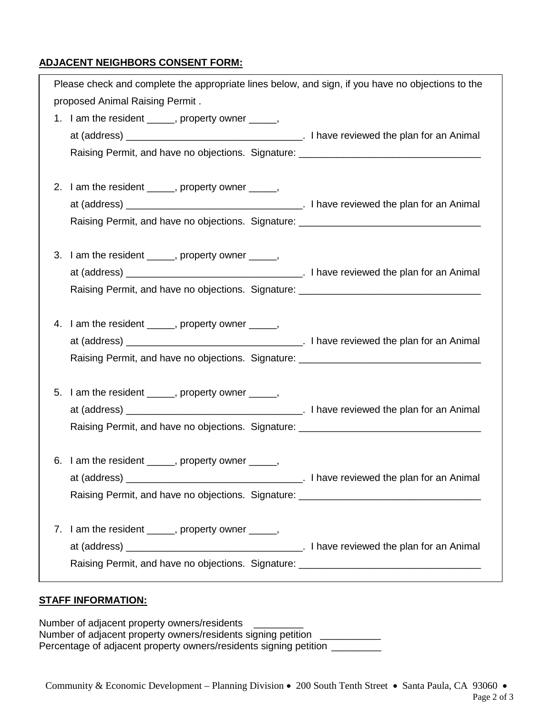## **ADJACENT NEIGHBORS CONSENT FORM:**

| Please check and complete the appropriate lines below, and sign, if you have no objections to the |  |
|---------------------------------------------------------------------------------------------------|--|
| proposed Animal Raising Permit.                                                                   |  |
| 1. I am the resident ______, property owner _____,                                                |  |
|                                                                                                   |  |
| Raising Permit, and have no objections. Signature: _____________________________                  |  |
|                                                                                                   |  |
| 2. I am the resident ______, property owner _____,                                                |  |
|                                                                                                   |  |
| Raising Permit, and have no objections. Signature: _____________________________                  |  |
| 3. I am the resident ______, property owner _____,                                                |  |
|                                                                                                   |  |
| Raising Permit, and have no objections. Signature: _____________________________                  |  |
|                                                                                                   |  |
| 4. I am the resident _____, property owner ____,                                                  |  |
|                                                                                                   |  |
| Raising Permit, and have no objections. Signature: _____________________________                  |  |
|                                                                                                   |  |
| 5. I am the resident _____, property owner _____,                                                 |  |
|                                                                                                   |  |
| Raising Permit, and have no objections. Signature: _____________________________                  |  |
| 6. I am the resident ______, property owner _____,                                                |  |
| Letter Lines and the plan for an Animal<br>at (address) _                                         |  |
| Raising Permit, and have no objections. Signature: _____________________________                  |  |
|                                                                                                   |  |
| I am the resident _____, property owner _____,<br>7.                                              |  |
|                                                                                                   |  |
| Raising Permit, and have no objections. Signature: _____________________________                  |  |
|                                                                                                   |  |

## **STAFF INFORMATION:**

Number of adjacent property owners/residents \_\_\_\_\_\_\_\_\_ Number of adjacent property owners/residents signing petition \_\_\_\_\_\_\_\_\_\_\_\_\_\_\_\_\_\_ Percentage of adjacent property owners/residents signing petition